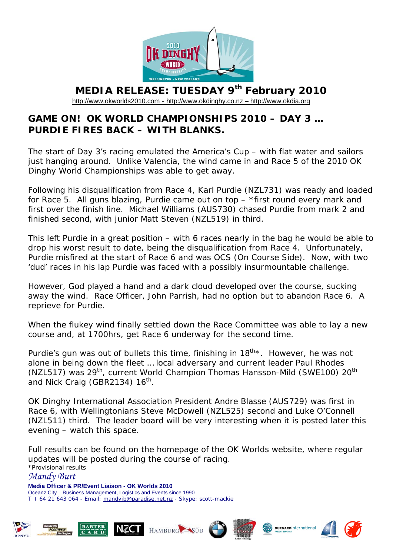

## **MEDIA RELEASE: TUESDAY 9th February 2010**

[http://www.okworlds2010.com](http://www.okworlds2010.com/) - [http://www.okdinghy.co.nz](http://www.okdinghy.co.nz/) - http://www.okdia.org

## **GAME ON! OK WORLD CHAMPIONSHIPS 2010 – DAY 3 … PURDIE FIRES BACK – WITH BLANKS.**

The start of Day 3's racing emulated the America's Cup – with flat water and sailors just hanging around. Unlike Valencia, the wind came in and Race 5 of the 2010 OK Dinghy World Championships was able to get away.

Following his disqualification from Race 4, Karl Purdie (NZL731) was ready and loaded for Race 5. All guns blazing, Purdie came out on top – \*first round every mark and first over the finish line. Michael Williams (AUS730) chased Purdie from mark 2 and finished second, with junior Matt Steven (NZL519) in third.

This left Purdie in a great position – with 6 races nearly in the bag he would be able to drop his worst result to date, being the disqualification from Race 4. Unfortunately, Purdie misfired at the start of Race 6 and was OCS (On Course Side). Now, with two 'dud' races in his lap Purdie was faced with a possibly insurmountable challenge.

However, God played a hand and a dark cloud developed over the course, sucking away the wind. Race Officer, John Parrish, had no option but to abandon Race 6. A reprieve for Purdie.

When the flukey wind finally settled down the Race Committee was able to lay a new course and, at 1700hrs, get Race 6 underway for the second time.

Purdie's gun was out of bullets this time, finishing in  $18^{th}$ \*. However, he was not alone in being down the fleet … local adversary and current leader Paul Rhodes (NZL517) was 29<sup>th</sup>, current World Champion Thomas Hansson-Mild (SWE100) 20<sup>th</sup> and Nick Craig (GBR2134) 16<sup>th</sup>.

OK Dinghy International Association President Andre Blasse (AUS729) was first in Race 6, with Wellingtonians Steve McDowell (NZL525) second and Luke O'Connell (NZL511) third. The leader board will be very interesting when it is posted later this evening – watch this space.

Full results can be found on the homepage of the OK Worlds website, where regular updates will be posted during the course of racing. \*Provisional results